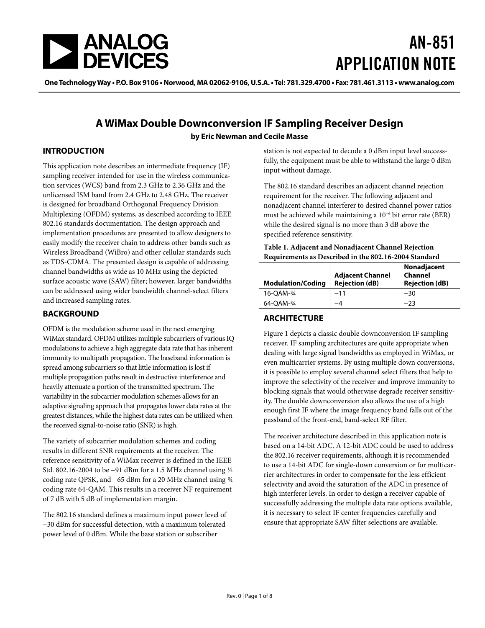

# AN-851 APPLICATION NOTE

**One Technology Way • P.O. Box 9106 • Norwood, MA 02062-9106, U.S.A. • Tel: 781.329.4700 • Fax: 781.461.3113 • www.analog.com** 

### **A WiMax Double Downconversion IF Sampling Receiver Design by Eric Newman and Cecile Masse**

### **INTRODUCTION**

This application note describes an intermediate frequency (IF) sampling receiver intended for use in the wireless communication services (WCS) band from 2.3 GHz to 2.36 GHz and the unlicensed ISM band from 2.4 GHz to 2.48 GHz. The receiver is designed for broadband Orthogonal Frequency Division Multiplexing (OFDM) systems, as described according to IEEE 802.16 standards documentation. The design approach and implementation procedures are presented to allow designers to easily modify the receiver chain to address other bands such as Wireless Broadband (WiBro) and other cellular standards such as TDS-CDMA. The presented design is capable of addressing channel bandwidths as wide as 10 MHz using the depicted surface acoustic wave (SAW) filter; however, larger bandwidths can be addressed using wider bandwidth channel-select filters and increased sampling rates.

### **BACKGROUND**

OFDM is the modulation scheme used in the next emerging WiMax standard. OFDM utilizes multiple subcarriers of various IQ modulations to achieve a high aggregate data rate that has inherent immunity to multipath propagation. The baseband information is spread among subcarriers so that little information is lost if multiple propagation paths result in destructive interference and heavily attenuate a portion of the transmitted spectrum. The variability in the subcarrier modulation schemes allows for an adaptive signaling approach that propagates lower data rates at the greatest distances, while the highest data rates can be utilized when the received signal-to-noise ratio (SNR) is high.

The variety of subcarrier modulation schemes and coding results in different SNR requirements at the receiver. The reference sensitivity of a WiMax receiver is defined in the IEEE Std. 802.16-2004 to be −91 dBm for a 1.5 MHz channel using ½ coding rate QPSK, and −65 dBm for a 20 MHz channel using ¾ coding rate 64-QAM. This results in a receiver NF requirement of 7 dB with 5 dB of implementation margin.

The 802.16 standard defines a maximum input power level of −30 dBm for successful detection, with a maximum tolerated power level of 0 dBm. While the base station or subscriber

station is not expected to decode a 0 dBm input level successfully, the equipment must be able to withstand the large 0 dBm input without damage.

The 802.16 standard describes an adjacent channel rejection requirement for the receiver. The following adjacent and nonadjacent channel interferer to desired channel power ratios must be achieved while maintaining a 10−6 bit error rate (BER) while the desired signal is no more than 3 dB above the specified reference sensitivity.

#### **Table 1. Adjacent and Nonadjacent Channel Rejection Requirements as Described in the 802.16-2004 Standard**

| <b>Modulation/Coding</b> | <b>Adjacent Channel</b><br><b>Rejection (dB)</b> | Nonadjacent<br>Channel<br><b>Rejection (dB)</b> |
|--------------------------|--------------------------------------------------|-------------------------------------------------|
| 16-OAM-34                | -11                                              | $-30$                                           |
| 64-OAM-34                |                                                  | -23                                             |

### **ARCHITECTURE**

[Figure 1](#page-1-0) depicts a classic double downconversion IF sampling receiver. IF sampling architectures are quite appropriate when dealing with large signal bandwidths as employed in WiMax, or even multicarrier systems. By using multiple down conversions, it is possible to employ several channel select filters that help to improve the selectivity of the receiver and improve immunity to blocking signals that would otherwise degrade receiver sensitivity. The double downconversion also allows the use of a high enough first IF where the image frequency band falls out of the passband of the front-end, band-select RF filter.

The receiver architecture described in this application note is based on a 14-bit ADC. A 12-bit ADC could be used to address the 802.16 receiver requirements, although it is recommended to use a 14-bit ADC for single-down conversion or for multicarrier architectures in order to compensate for the less efficient selectivity and avoid the saturation of the ADC in presence of high interferer levels. In order to design a receiver capable of successfully addressing the multiple data rate options available, it is necessary to select IF center frequencies carefully and ensure that appropriate SAW filter selections are available.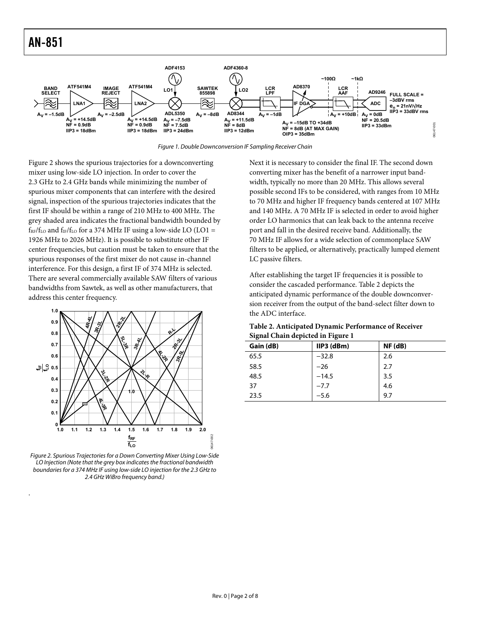<span id="page-1-0"></span>

Figure 1. Double Downconversion IF Sampling Receiver Chain

[Figure 2](#page-1-1) shows the spurious trajectories for a downconverting mixer using low-side LO injection. In order to cover the 2.3 GHz to 2.4 GHz bands while minimizing the number of spurious mixer components that can interfere with the desired signal, inspection of the spurious trajectories indicates that the first IF should be within a range of 210 MHz to 400 MHz. The grey shaded area indicates the fractional bandwidth bounded by  $f_{RF}/f_{LO}$  and  $f_{IF}/f_{LO}$  for a 374 MHz IF using a low-side LO (LO1 = 1926 MHz to 2026 MHz). It is possible to substitute other IF center frequencies, but caution must be taken to ensure that the spurious responses of the first mixer do not cause in-channel interference. For this design, a first IF of 374 MHz is selected. There are several commercially available SAW filters of various bandwidths from Sawtek, as well as other manufacturers, that address this center frequency.

<span id="page-1-2"></span>

<span id="page-1-1"></span>Figure 2. Spurious Trajectories for a Down Converting Mixer Using Low-Side LO Injection (Note that the grey box indicates the fractional bandwidth boundaries for a 374 MHz IF using low-side LO injection for the 2.3 GHz to 2.4 GHz WiBro frequency band.)

.

Next it is necessary to consider the final IF. The second down converting mixer has the benefit of a narrower input bandwidth, typically no more than 20 MHz. This allows several possible second IFs to be considered, with ranges from 10 MHz to 70 MHz and higher IF frequency bands centered at 107 MHz and 140 MHz. A 70 MHz IF is selected in order to avoid higher order LO harmonics that can leak back to the antenna receive port and fall in the desired receive band. Additionally, the 70 MHz IF allows for a wide selection of commonplace SAW filters to be applied, or alternatively, practically lumped element LC passive filters.

After establishing the target IF frequencies it is possible to consider the cascaded performance. [Table 2](#page-1-2) depicts the anticipated dynamic performance of the double downconversion receiver from the output of the band-select filter down to the ADC interface.

| Table 2. Anticipated Dynamic Performance of Receiver |
|------------------------------------------------------|
| Signal Chain depicted in Figure 1                    |

| Gain (dB) | $IIP3$ (dBm) | $NF$ ( $dB$ ) |
|-----------|--------------|---------------|
| 65.5      | $-32.8$      | 2.6           |
| 58.5      | $-26$        | 2.7           |
| 48.5      | $-14.5$      | 3.5           |
| 37        | $-7.7$       | 4.6           |
| 23.5      | $-5.6$       | 9.7           |

06147-002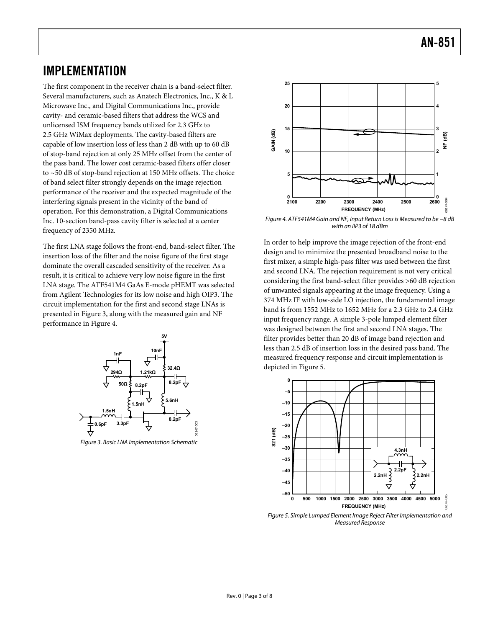### IMPLEMENTATION

The first component in the receiver chain is a band-select filter. Several manufacturers, such as Anatech Electronics, Inc., K & L Microwave Inc., and Digital Communications Inc., provide cavity- and ceramic-based filters that address the WCS and unlicensed ISM frequency bands utilized for 2.3 GHz to 2.5 GHz WiMax deployments. The cavity-based filters are capable of low insertion loss of less than 2 dB with up to 60 dB of stop-band rejection at only 25 MHz offset from the center of the pass band. The lower cost ceramic-based filters offer closer to ~50 dB of stop-band rejection at 150 MHz offsets. The choice of band select filter strongly depends on the image rejection performance of the receiver and the expected magnitude of the interfering signals present in the vicinity of the band of operation. For this demonstration, a Digital Communications Inc. 10-section band-pass cavity filter is selected at a center frequency of 2350 MHz.

The first LNA stage follows the front-end, band-select filter. The insertion loss of the filter and the noise figure of the first stage dominate the overall cascaded sensitivity of the receiver. As a result, it is critical to achieve very low noise figure in the first LNA stage. The ATF541M4 GaAs E-mode pHEMT was selected from Agilent Technologies for its low noise and high OIP3. The circuit implementation for the first and second stage LNAs is presented in Figure 3, along with the measured gain and NF performance in Figure 4.



Figure 3. Basic LNA Implementation Schematic

06147-003



Figure 4. ATF541M4 Gain and NF, Input Return Loss is Measured to be −8 dB with an IIP3 of 18 dBm

In order to help improve the image rejection of the front-end design and to minimize the presented broadband noise to the first mixer, a simple high-pass filter was used between the first and second LNA. The rejection requirement is not very critical considering the first band-select filter provides >60 dB rejection of unwanted signals appearing at the image frequency. Using a 374 MHz IF with low-side LO injection, the fundamental image band is from 1552 MHz to 1652 MHz for a 2.3 GHz to 2.4 GHz input frequency range. A simple 3-pole lumped element filter was designed between the first and second LNA stages. The filter provides better than 20 dB of image band rejection and less than 2.5 dB of insertion loss in the desired pass band. The measured frequency response and circuit implementation is depicted in Figure 5.



Figure 5. Simple Lumped Element Image Reject Filter Implementation and Measured Response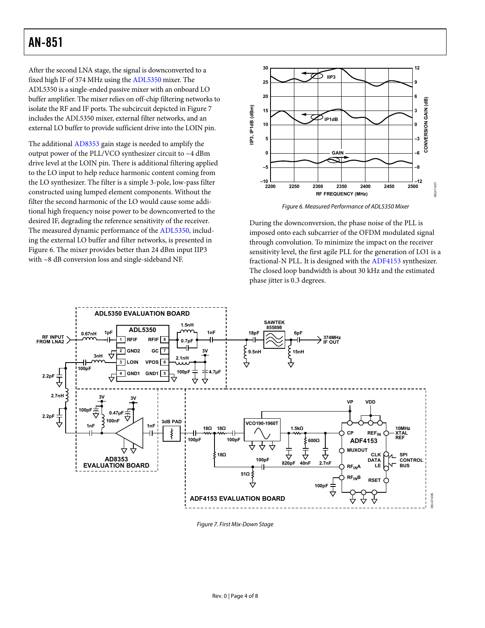<span id="page-3-0"></span>After the second LNA stage, the signal is downconverted to a fixed high IF of 374 MHz using the [ADL5350](http://www.analog.com/en/prod/0%2C2877%2CADL5350%2C00.html) mixer. The [ADL5350](http://www.analog.com/en/prod/0%2C2877%2CADL5350%2C00.html) is a single-ended passive mixer with an onboard LO buffer amplifier. The mixer relies on off-chip filtering networks to isolate the RF and IF ports. The subcircuit depicted in Figure 7 includes the [ADL5350](http://www.analog.com/en/prod/0%2C2877%2CADL5350%2C00.html) mixer, external filter networks, and an external LO buffer to provide sufficient drive into the LOIN pin.

The additional [AD8353](http://www.analog.com/en/prod/0%2C2877%2CAD8353%2C00.html) gain stage is needed to amplify the output power of the PLL/VCO synthesizer circuit to ~4 dBm drive level at the LOIN pin. There is additional filtering applied to the LO input to help reduce harmonic content coming from the LO synthesizer. The filter is a simple 3-pole, low-pass filter constructed using lumped element components. Without the filter the second harmonic of the LO would cause some additional high frequency noise power to be downconverted to the desired IF, degrading the reference sensitivity of the receiver. The measured dynamic performance of the [ADL5350,](http://www.analog.com/en/prod/0%2C2877%2CADL5350%2C00.html) including the external LO buffer and filter networks, is presented in Figure 6. The mixer provides better than 24 dBm input IIP3 with ~8 dB conversion loss and single-sideband NF.



Figure 6. Measured Performance of ADL5350 Mixer

During the downconversion, the phase noise of the PLL is imposed onto each subcarrier of the OFDM modulated signal through convolution. To minimize the impact on the receiver sensitivity level, the first agile PLL for the generation of LO1 is a fractional-N PLL. It is designed with the [ADF4153](http://www.analog.com/en/prod/0%2C2877%2CADF4153%2C00.html) synthesizer. The closed loop bandwidth is about 30 kHz and the estimated phase jitter is 0.3 degrees.



Figure 7. First Mix-Down Stage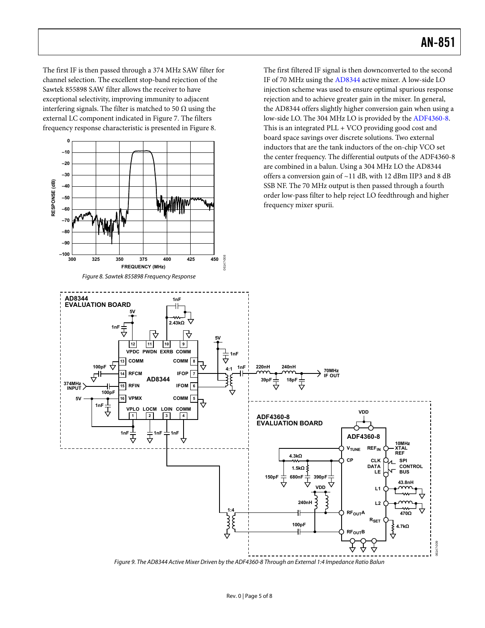The first IF is then passed through a 374 MHz SAW filter for channel selection. The excellent stop-band rejection of the Sawtek 855898 SAW filter allows the receiver to have exceptional selectivity, improving immunity to adjacent interfering signals. The filter is matched to 50  $\Omega$  using the external LC component indicated in [Figure 7](#page-3-0). The filters frequency response characteristic is presented in Figure 8.



The first filtered IF signal is then downconverted to the second IF of 70 MHz using the [AD8344](http://www.analog.com/en/prod/0%2C2877%2CAD8344%2C00.html) active mixer. A low-side LO injection scheme was used to ensure optimal spurious response rejection and to achieve greater gain in the mixer. In general, the [AD8344](http://www.analog.com/en/prod/0%2C2877%2CAD8344%2C00.html) offers slightly higher conversion gain when using a low-side LO. The 304 MHz LO is provided by the [ADF4360-8.](http://www.analog.com/en/prod/0%2C2877%2CADF4360%25252D8%2C00.html) This is an integrated PLL + VCO providing good cost and board space savings over discrete solutions. Two external inductors that are the tank inductors of the on-chip VCO set the center frequency. The differential outputs of the [ADF4360-8](http://www.analog.com/en/prod/0%2C2877%2CADF4360%25252D8%2C00.html) are combined in a balun. Using a 304 MHz LO the [AD8344](http://www.analog.com/en/prod/0%2C2877%2CAD8344%2C00.html) offers a conversion gain of ~11 dB, with 12 dBm IIP3 and 8 dB SSB NF. The 70 MHz output is then passed through a fourth order low-pass filter to help reject LO feedthrough and higher frequency mixer spurii.



Figure 9. The AD8344 Active Mixer Driven by the ADF4360-8 Through an External 1:4 Impedance Ratio Balun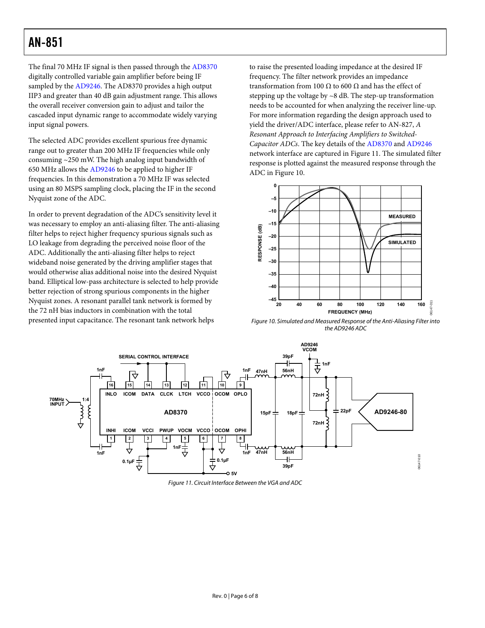The final 70 MHz IF signal is then passed through the [AD8370](http://www.analog.com/en/prod/0%2C2877%2CAD8370%2C00.html) digitally controlled variable gain amplifier before being IF sampled by the [AD9246.](http://www.analog.com/en/prod/0%2C2877%2CAD9246%2C00.html) The [AD8370](http://www.analog.com/en/prod/0%2C2877%2CAD8370%2C00.html) provides a high output IIP3 and greater than 40 dB gain adjustment range. This allows the overall receiver conversion gain to adjust and tailor the cascaded input dynamic range to accommodate widely varying input signal powers.

The selected ADC provides excellent spurious free dynamic range out to greater than 200 MHz IF frequencies while only consuming ~250 mW. The high analog input bandwidth of 650 MHz allows the [AD9246](http://www.analog.com/en/prod/0%2C2877%2CAD9246%2C00.html) to be applied to higher IF frequencies. In this demonstration a 70 MHz IF was selected using an 80 MSPS sampling clock, placing the IF in the second Nyquist zone of the ADC.

In order to prevent degradation of the ADC's sensitivity level it was necessary to employ an anti-aliasing filter. The anti-aliasing filter helps to reject higher frequency spurious signals such as LO leakage from degrading the perceived noise floor of the ADC. Additionally the anti-aliasing filter helps to reject wideband noise generated by the driving amplifier stages that would otherwise alias additional noise into the desired Nyquist band. Elliptical low-pass architecture is selected to help provide better rejection of strong spurious components in the higher Nyquist zones. A resonant parallel tank network is formed by the 72 nH bias inductors in combination with the total presented input capacitance. The resonant tank network helps

to raise the presented loading impedance at the desired IF frequency. The filter network provides an impedance transformation from 100 Ω to 600 Ω and has the effect of stepping up the voltage by ~8 dB. The step-up transformation needs to be accounted for when analyzing the receiver line-up. For more information regarding the design approach used to yield the driver/ADC interface, please refer to AN-827, *A Resonant Approach to Interfacing Amplifiers to Switched-Capacitor ADCs*. The key details of the [AD8370](http://www.analog.com/en/prod/0%2C2877%2CAD8370%2C00.html) and [AD9246](http://www.analog.com/en/prod/0%2C2877%2CAD9246%2C00.html) network interface are captured in Figure 11. The simulated filter response is plotted against the measured response through the ADC in Figure 10.



Figure 10. Simulated and Measured Response of the Anti-Aliasing Filter into the AD9246 ADC



Figure 11. Circuit Interface Between the VGA and ADC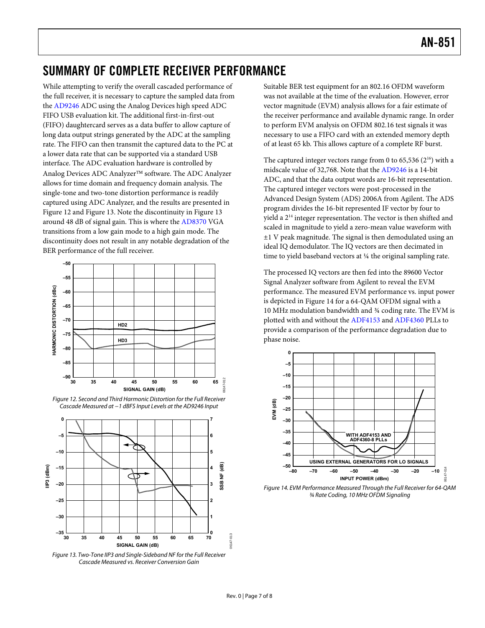# SUMMARY OF COMPLETE RECEIVER PERFORMANCE

While attempting to verify the overall cascaded performance of the full receiver, it is necessary to capture the sampled data from the [AD9246](http://www.analog.com/en/prod/0%2C2877%2CAD9246%2C00.html) ADC using the Analog Devices high speed ADC FIFO USB evaluation kit. The additional first-in-first-out (FIFO) daughtercard serves as a data buffer to allow capture of long data output strings generated by the ADC at the sampling rate. The FIFO can then transmit the captured data to the PC at a lower data rate that can be supported via a standard USB interface. The ADC evaluation hardware is controlled by Analog Devices ADC Analyzer™ software. The ADC Analyzer allows for time domain and frequency domain analysis. The single-tone and two-tone distortion performance is readily captured using ADC Analyzer, and the results are presented in Figure 12 and Figure 13. Note the discontinuity in Figure 13 around 48 dB of signal gain. This is where the [AD8370](http://www.analog.com/en/prod/0%2C2877%2CAD8370%2C00.html) VGA transitions from a low gain mode to a high gain mode. The discontinuity does not result in any notable degradation of the BER performance of the full receiver.





<span id="page-6-0"></span>

Figure 13. Two-Tone IIP3 and Single-Sideband NF for the Full Receiver Cascade Measured vs. Receiver Conversion Gain

Suitable BER test equipment for an 802.16 OFDM waveform was not available at the time of the evaluation. However, error vector magnitude (EVM) analysis allows for a fair estimate of the receiver performance and available dynamic range. In order to perform EVM analysis on OFDM 802.16 test signals it was necessary to use a FIFO card with an extended memory depth of at least 65 kb. This allows capture of a complete RF burst.

The captured integer vectors range from 0 to 65,536  $(2^{16})$  with a midscale value of 32,768. Note that the [AD9246](http://www.analog.com/en/prod/0%2C2877%2CAD9246%2C00.html) is a 14-bit ADC, and that the data output words are 16-bit representation. The captured integer vectors were post-processed in the Advanced Design System (ADS) 2006A from Agilent. The ADS program divides the 16-bit represented IF vector by four to yield a  $2<sup>14</sup>$  integer representation. The vector is then shifted and scaled in magnitude to yield a zero-mean value waveform with  $±1$  V peak magnitude. The signal is then demodulated using an ideal IQ demodulator. The IQ vectors are then decimated in time to yield baseband vectors at ¼ the original sampling rate.

The processed IQ vectors are then fed into the 89600 Vector Signal Analyzer software from Agilent to reveal the EVM performance. The measured EVM performance vs. input power is depicted in [Figure 14](#page-6-0) for a 64-QAM OFDM signal with a 10 MHz modulation bandwidth and ¾ coding rate. The EVM is plotted with and without the [ADF4153](http://www.analog.com/en/prod/0%2C2877%2CADF4153%2C00.html) and [ADF4360](http://www.analog.com/en/Search/productSearch.asp?queryText=ADF4360&la=English&reqPg=1) PLLs to provide a comparison of the performance degradation due to phase noise.



Figure 14. EVM Performance Measured Through the Full Receiver for 64-QAM ¾ Rate Coding, 10 MHz OFDM Signaling